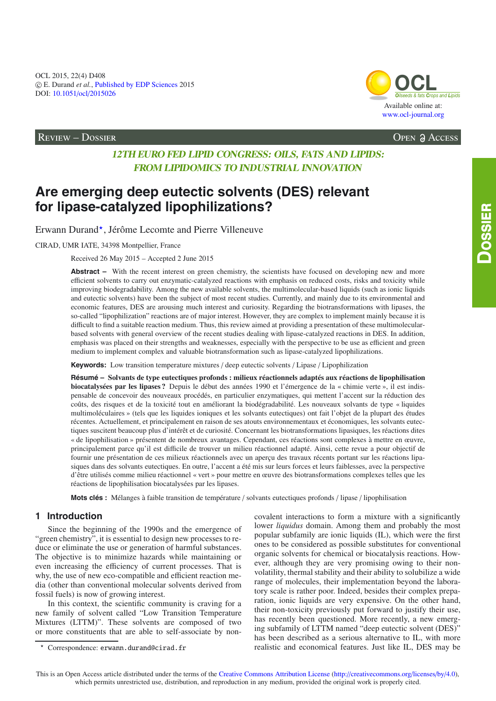Available online at: [www.ocl-journal.org](http://www.ocl-journal.org) **[OCL](http://www.ocl-journal.org)** *Oilseeds & fats Crops and Lipids*

Review – Dossier Open Access

## **12TH EURO FED LIPID CONGRESS: OILS, FATS AND LIPIDS: FROM LIPIDOMICS TO INDUSTRIAL INNOVATION**

# **Are emerging deep eutectic solvents (DES) relevant for lipase-catalyzed lipophilizations?**

Erwann Durand\*, Jérôme Lecomte and Pierre Villeneuve

CIRAD, UMR IATE, 34398 Montpellier, France

Received 26 May 2015 – Accepted 2 June 2015

**Abstract –** With the recent interest on green chemistry, the scientists have focused on developing new and more efficient solvents to carry out enzymatic-catalyzed reactions with emphasis on reduced costs, risks and toxicity while improving biodegradability. Among the new available solvents, the multimolecular-based liquids (such as ionic liquids and eutectic solvents) have been the subject of most recent studies. Currently, and mainly due to its environmental and economic features, DES are arousing much interest and curiosity. Regarding the biotransformations with lipases, the so-called "lipophilization" reactions are of major interest. However, they are complex to implement mainly because it is difficult to find a suitable reaction medium. Thus, this review aimed at providing a presentation of these multimolecularbased solvents with general overview of the recent studies dealing with lipase-catalyzed reactions in DES. In addition, emphasis was placed on their strengths and weaknesses, especially with the perspective to be use as efficient and green medium to implement complex and valuable biotransformation such as lipase-catalyzed lipophilizations.

**Keywords:** Low transition temperature mixtures / deep eutectic solvents / Lipase / Lipophilization

**Résumé – Solvants de type eutectiques profonds : milieux réactionnels adaptés aux réactions de lipophilisation biocatalysées par les lipases ?** Depuis le début des années 1990 et l'émergence de la « chimie verte », il est indispensable de concevoir des nouveaux procédés, en particulier enzymatiques, qui mettent l'accent sur la réduction des coûts, des risques et de la toxicité tout en améliorant la biodégradabilité. Les nouveaux solvants de type « liquides multimoléculaires » (tels que les liquides ioniques et les solvants eutectiques) ont fait l'objet de la plupart des études récentes. Actuellement, et principalement en raison de ses atouts environnementaux et économiques, les solvants eutectiques suscitent beaucoup plus d'intérêt et de curiosité. Concernant les biotransformations lipasiques, les réactions dites « de lipophilisation » présentent de nombreux avantages. Cependant, ces réactions sont complexes à mettre en œuvre, principalement parce qu'il est difficile de trouver un milieu réactionnel adapté. Ainsi, cette revue a pour objectif de fournir une présentation de ces milieux réactionnels avec un aperçu des travaux récents portant sur les réactions lipasiques dans des solvants eutectiques. En outre, l'accent a été mis sur leurs forces et leurs faiblesses, avec la perspective d'être utilisés comme milieu réactionnel « vert » pour mettre en œuvre des biotransformations complexes telles que les réactions de lipophilisation biocatalysées par les lipases.

**Mots clés :** Mélanges à faible transition de température / solvants eutectiques profonds / lipase / lipophilisation

#### **1 Introduction**

Since the beginning of the 1990s and the emergence of "green chemistry", it is essential to design new processes to reduce or eliminate the use or generation of harmful substances. The objective is to minimize hazards while maintaining or even increasing the efficiency of current processes. That is why, the use of new eco-compatible and efficient reaction media (other than conventional molecular solvents derived from fossil fuels) is now of growing interest.

In this context, the scientific community is craving for a new family of solvent called "Low Transition Temperature Mixtures (LTTM)". These solvents are composed of two or more constituents that are able to self-associate by noncovalent interactions to form a mixture with a significantly lower *liquidus* domain. Among them and probably the most popular subfamily are ionic liquids (IL), which were the first ones to be considered as possible substitutes for conventional organic solvents for chemical or biocatalysis reactions. However, although they are very promising owing to their nonvolatility, thermal stability and their ability to solubilize a wide range of molecules, their implementation beyond the laboratory scale is rather poor. Indeed, besides their complex preparation, ionic liquids are very expensive. On the other hand, their non-toxicity previously put forward to justify their use, has recently been questioned. More recently, a new emerging subfamily of LTTM named "deep eutectic solvent (DES)" has been described as a serious alternative to IL, with more realistic and economical features. Just like IL, DES may be

 $\star$ Correspondence: erwann.durand@cirad.fr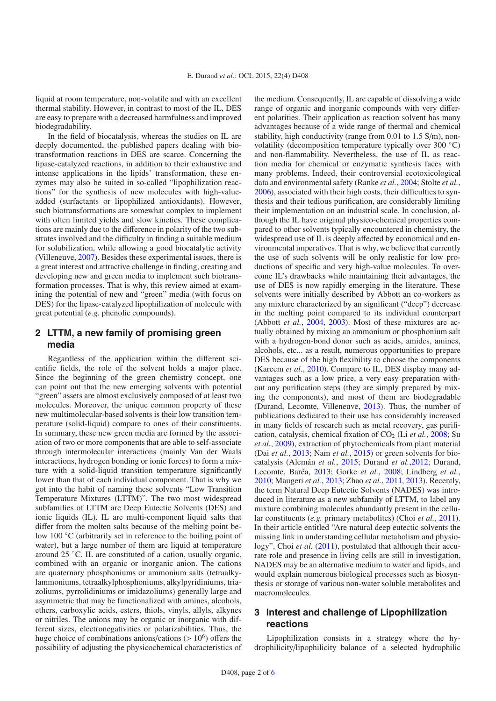liquid at room temperature, non-volatile and with an excellent thermal stability. However, in contrast to most of the IL, DES are easy to prepare with a decreased harmfulness and improved biodegradability.

In the field of biocatalysis, whereas the studies on IL are deeply documented, the published papers dealing with biotransformation reactions in DES are scarce. Concerning the lipase-catalyzed reactions, in addition to their exhaustive and intense applications in the lipids' transformation, these enzymes may also be suited in so-called "lipophilization reactions" for the synthesis of new molecules with high-valueadded (surfactants or lipophilized antioxidants). However, such biotransformations are somewhat complex to implement with often limited yields and slow kinetics. These complications are mainly due to the difference in polarity of the two substrates involved and the difficulty in finding a suitable medium for solubilization, while allowing a good biocatalytic activity (Villeneuve, [2007\)](#page-5-0). Besides these experimental issues, there is a great interest and attractive challenge in finding, creating and developing new and green media to implement such biotransformation processes. That is why, this review aimed at examining the potential of new and "green" media (with focus on DES) for the lipase-catalyzed lipophilization of molecule with great potential (*e.g.* phenolic compounds).

### **2 LTTM, a new family of promising green media**

Regardless of the application within the different scientific fields, the role of the solvent holds a major place. Since the beginning of the green chemistry concept, one can point out that the new emerging solvents with potential "green" assets are almost exclusively composed of at least two molecules. Moreover, the unique common property of these new multimolecular-based solvents is their low transition temperature (solid-liquid) compare to ones of their constituents. In summary, these new green media are formed by the association of two or more components that are able to self-associate through intermolecular interactions (mainly Van der Waals interactions, hydrogen bonding or ionic forces) to form a mixture with a solid-liquid transition temperature significantly lower than that of each individual component. That is why we got into the habit of naming these solvents "Low Transition Temperature Mixtures (LTTM)". The two most widespread subfamilies of LTTM are Deep Eutectic Solvents (DES) and ionic liquids (IL). IL are multi-component liquid salts that differ from the molten salts because of the melting point below 100 ◦C (arbitrarily set in reference to the boiling point of water), but a large number of them are liquid at temperature around 25 ◦C. IL are constituted of a cation, usually organic, combined with an organic or inorganic anion. The cations are quaternary phosphoniums or ammonium salts (tetraalkylammoniums, tetraalkylphosphoniums, alkylpyridiniums, triazoliums, pyrrolidiniums or imidazoliums) generally large and asymmetric that may be functionalized with amines, alcohols, ethers, carboxylic acids, esters, thiols, vinyls, allyls, alkynes or nitriles. The anions may be organic or inorganic with different sizes, electronegativities or polarizabilities. Thus, the huge choice of combinations anions/cations  $(>10^6)$  offers the possibility of adjusting the physicochemical characteristics of the medium. Consequently, IL are capable of dissolving a wide range of organic and inorganic compounds with very different polarities. Their application as reaction solvent has many advantages because of a wide range of thermal and chemical stability, high conductivity (range from 0.01 to 1.5 S/m), nonvolatility (decomposition temperature typically over 300 ◦C) and non-flammability. Nevertheless, the use of IL as reaction media for chemical or enzymatic synthesis faces with many problems. Indeed, their controversial ecotoxicological data and environmental safety (Ranke *et al.*, [2004;](#page-5-1) Stolte *et al.*, [2006\)](#page-5-2), associated with their high costs, their difficulties to synthesis and their tedious purification, are considerably limiting their implementation on an industrial scale. In conclusion, although the IL have original physico-chemical properties compared to other solvents typically encountered in chemistry, the widespread use of IL is deeply affected by economical and environmental imperatives. That is why, we believe that currently the use of such solvents will be only realistic for low productions of specific and very high-value molecules. To overcome IL's drawbacks while maintaining their advantages, the use of DES is now rapidly emerging in the literature. These solvents were initially described by Abbott an co-workers as any mixture characterized by an significant ("deep") decrease in the melting point compared to its individual counterpart (Abbott *et al.*, [2004](#page-4-0), [2003\)](#page-4-1). Most of these mixtures are actually obtained by mixing an ammonium or phosphonium salt with a hydrogen-bond donor such as acids, amides, amines, alcohols, etc... as a result, numerous opportunities to prepare DES because of the high flexibility to choose the components (Kareem *et al.*, [2010\)](#page-5-3). Compare to IL, DES display many advantages such as a low price, a very easy preparation without any purification steps (they are simply prepared by mixing the components), and most of them are biodegradable (Durand, Lecomte, Villeneuve, [2013\)](#page-4-2). Thus, the number of publications dedicated to their use has considerably increased in many fields of research such as metal recovery, gas purification, catalysis, chemical fixation of CO<sub>2</sub> (Li *et al.*, [2008;](#page-5-4) Su *et al.*, [2009](#page-5-5)), extraction of phytochemicals from plant material (Dai *et al.*, [2013;](#page-4-3) Nam *et al.*, [2015\)](#page-5-6) or green solvents for biocatalysis (Alemán *et al.*, [2015;](#page-4-4) Durand *et al.*[,2012;](#page-4-5) Durand, Lecomte, Baréa, [2013;](#page-4-2) Gorke *et al.*, [2008](#page-4-6); Lindberg *et al.*, [2010;](#page-5-7) Maugeri *et al.*, [2013;](#page-5-8) Zhao *et al.*, [2011,](#page-5-9) [2013\)](#page-5-10). Recently, the term Natural Deep Eutectic Solvents (NADES) was introduced in literature as a new subfamily of LTTM, to label any mixture combining molecules abundantly present in the cellular constituents (*e.g.* primary metabolites) (Choi *et al.*, [2011\)](#page-4-7). In their article entitled "Are natural deep eutectic solvents the missing link in understanding cellular metabolism and physiology", Choi *et al.* [\(2011\)](#page-4-7), postulated that although their accurate role and presence in living cells are still in investigation, NADES may be an alternative medium to water and lipids, and would explain numerous biological processes such as biosynthesis or storage of various non-water soluble metabolites and macromolecules.

#### **3 Interest and challenge of Lipophilization reactions**

Lipophilization consists in a strategy where the hydrophilicity/lipophilicity balance of a selected hydrophilic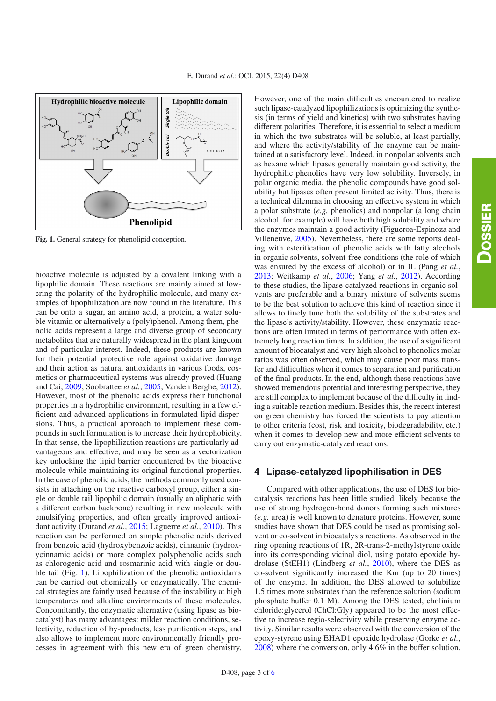<span id="page-2-0"></span>

**Fig. 1.** General strategy for phenolipid conception.

bioactive molecule is adjusted by a covalent linking with a lipophilic domain. These reactions are mainly aimed at lowering the polarity of the hydrophilic molecule, and many examples of lipophilization are now found in the literature. This can be onto a sugar, an amino acid, a protein, a water soluble vitamin or alternatively a (poly)phenol. Among them, phenolic acids represent a large and diverse group of secondary metabolites that are naturally widespread in the plant kingdom and of particular interest. Indeed, these products are known for their potential protective role against oxidative damage and their action as natural antioxidants in various foods, cosmetics or pharmaceutical systems was already proved (Huang and Cai, [2009](#page-5-12); Soobrattee *et al.*, [2005](#page-5-13); Vanden Berghe, [2012](#page-5-14)). However, most of the phenolic acids express their functional properties in a hydrophilic environment, resulting in a few efficient and advanced applications in formulated-lipid dispersions. Thus, a practical approach to implement these compounds in such formulation is to increase their hydrophobicity. In that sense, the lipophilization reactions are particularly advantageous and effective, and may be seen as a vectorization key unlocking the lipid barrier encountered by the bioactive molecule while maintaining its original functional properties. In the case of phenolic acids, the methods commonly used consists in attaching on the reactive carboxyl group, either a single or double tail lipophilic domain (usually an aliphatic with a different carbon backbone) resulting in new molecule with emulsifying properties, and often greatly improved antioxidant activity (Durand *et al.*, [2015](#page-4-8); Laguerre *et al.*, [2010\)](#page-5-15). This reaction can be performed on simple phenolic acids derived from benzoic acid (hydroxybenzoic acids), cinnamic (hydroxycinnamic acids) or more complex polyphenolic acids such as chlorogenic acid and rosmarinic acid with single or double tail (Fig. [1\)](#page-2-0). Lipophilization of the phenolic antioxidants can be carried out chemically or enzymatically. The chemical strategies are faintly used because of the instability at high temperatures and alkaline environments of these molecules. Concomitantly, the enzymatic alternative (using lipase as biocatalyst) has many advantages: milder reaction conditions, selectivity, reduction of by-products, less purification steps, and also allows to implement more environmentally friendly processes in agreement with this new era of green chemistry.

However, one of the main difficulties encountered to realize such lipase-catalyzed lipophilizations is optimizing the synthesis (in terms of yield and kinetics) with two substrates having different polarities. Therefore, it is essential to select a medium in which the two substrates will be soluble, at least partially, and where the activity/stability of the enzyme can be maintained at a satisfactory level. Indeed, in nonpolar solvents such as hexane which lipases generally maintain good activity, the hydrophilic phenolics have very low solubility. Inversely, in polar organic media, the phenolic compounds have good solubility but lipases often present limited activity. Thus, there is a technical dilemma in choosing an effective system in which a polar substrate (*e.g.* phenolics) and nonpolar (a long chain alcohol, for example) will have both high solubility and where the enzymes maintain a good activity (Figueroa-Espinoza and Villeneuve, [2005\)](#page-4-9). Nevertheless, there are some reports dealing with esterification of phenolic acids with fatty alcohols in organic solvents, solvent-free conditions (the role of which was ensured by the excess of alcohol) or in IL (Pang *et al.*, [2013;](#page-5-16) Weitkamp *et al.*, [2006;](#page-5-17) Yang *et al.*, [2012](#page-5-18)). According to these studies, the lipase-catalyzed reactions in organic solvents are preferable and a binary mixture of solvents seems to be the best solution to achieve this kind of reaction since it allows to finely tune both the solubility of the substrates and the lipase's activity/stability. However, these enzymatic reactions are often limited in terms of performance with often extremely long reaction times. In addition, the use of a significant amount of biocatalyst and very high alcohol to phenolics molar ratios was often observed, which may cause poor mass transfer and difficulties when it comes to separation and purification of the final products. In the end, although these reactions have showed tremendous potential and interesting perspective, they are still complex to implement because of the difficulty in finding a suitable reaction medium. Besides this, the recent interest on green chemistry has forced the scientists to pay attention to other criteria (cost, risk and toxicity, biodegradability, etc.) when it comes to develop new and more efficient solvents to carry out enzymatic-catalyzed reactions.

#### **4 Lipase-catalyzed lipophilisation in DES**

Compared with other applications, the use of DES for biocatalysis reactions has been little studied, likely because the use of strong hydrogen-bond donors forming such mixtures (*e.g.* urea) is well known to denature proteins. However, some studies have shown that DES could be used as promising solvent or co-solvent in biocatalysis reactions. As observed in the ring opening reactions of 1R, 2R-trans-2-methylstyrene oxide into its corresponding vicinal diol, using potato epoxide hydrolase (StEH1) (Lindberg *et al.*, [2010](#page-5-7)), where the DES as co-solvent significantly increased the Km (up to 20 times) of the enzyme. In addition, the DES allowed to solubilize 1.5 times more substrates than the reference solution (sodium phosphate buffer 0.1 M). Among the DES tested, cholinium chloride:glycerol (ChCl:Gly) appeared to be the most effective to increase regio-selectivity while preserving enzyme activity. Similar results were observed with the conversion of the epoxy-styrene using EHAD1 epoxide hydrolase (Gorke *et al.*, [2008\)](#page-4-6) where the conversion, only 4.6% in the buffer solution,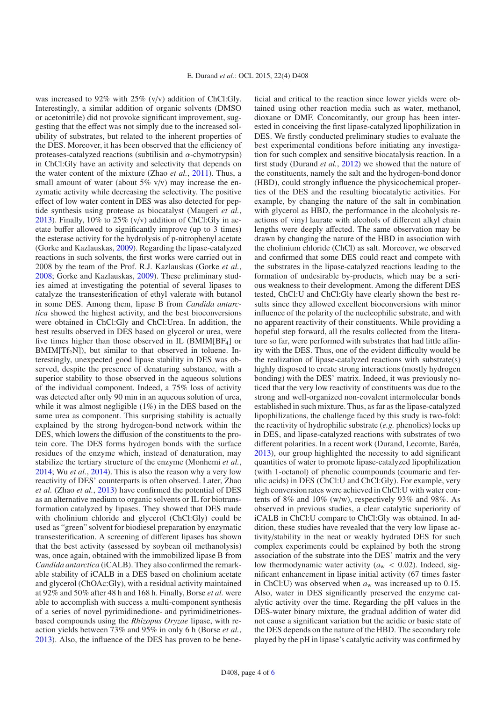was increased to 92% with 25% (v/v) addition of ChCl:Gly. Interestingly, a similar addition of organic solvents (DMSO or acetonitrile) did not provoke significant improvement, suggesting that the effect was not simply due to the increased solubility of substrates, but related to the inherent properties of the DES. Moreover, it has been observed that the efficiency of proteases-catalyzed reactions (subtilisin and  $\alpha$ -chymotrypsin) in ChCl:Gly have an activity and selectivity that depends on the water content of the mixture (Zhao *et al.*, [2011\)](#page-5-9). Thus, a small amount of water (about  $5\%$  v/v) may increase the enzymatic activity while decreasing the selectivity. The positive effect of low water content in DES was also detected for peptide synthesis using protease as biocatalyst (Maugeri *et al.*, [2013\)](#page-5-8). Finally,  $10\%$  to  $25\%$  (v/v) addition of ChCl:Gly in acetate buffer allowed to significantly improve (up to 3 times) the esterase activity for the hydrolysis of p-nitrophenyl acetate (Gorke and Kazlauskas, [2009\)](#page-4-10). Regarding the lipase-catalyzed reactions in such solvents, the first works were carried out in 2008 by the team of the Prof. R.J. Kazlauskas (Gorke *et al.*, [2008;](#page-4-6) Gorke and Kazlauskas, [2009\)](#page-4-10). These preliminary studies aimed at investigating the potential of several lipases to catalyze the transesterification of ethyl valerate with butanol in some DES. Among them, lipase B from *Candida antarctica* showed the highest activity, and the best bioconversions were obtained in ChCl:Gly and ChCl:Urea. In addition, the best results observed in DES based on glycerol or urea, were five times higher than those observed in IL (BMIM[BF<sub>4</sub>] or  $BMIN[Tf_2N]$ , but similar to that observed in toluene. Interestingly, unexpected good lipase stability in DES was observed, despite the presence of denaturing substance, with a superior stability to those observed in the aqueous solutions of the individual component. Indeed, a 75% loss of activity was detected after only 90 min in an aqueous solution of urea, while it was almost negligible  $(1%)$  in the DES based on the same urea as component. This surprising stability is actually explained by the strong hydrogen-bond network within the DES, which lowers the diffusion of the constituents to the protein core. The DES forms hydrogen bonds with the surface residues of the enzyme which, instead of denaturation, may stabilize the tertiary structure of the enzyme (Monhemi *et al.*, [2014;](#page-5-19) Wu *et al.*, [2014\)](#page-5-20). This is also the reason why a very low reactivity of DES' counterparts is often observed. Later, Zhao *et al.* (Zhao *et al.*, [2013](#page-5-10)) have confirmed the potential of DES as an alternative medium to organic solvents or IL for biotransformation catalyzed by lipases. They showed that DES made with cholinium chloride and glycerol (ChCl:Gly) could be used as "green" solvent for biodiesel preparation by enzymatic transesterification. A screening of different lipases has shown that the best activity (assessed by soybean oil methanolysis) was, once again, obtained with the immobilized lipase B from *Candida antarctica* (iCALB). They also confirmed the remarkable stability of iCALB in a DES based on cholinium acetate and glycerol (ChOAc:Gly), with a residual activity maintained at 92% and 50% after 48 h and 168 h. Finally, Borse *et al.* were able to accomplish with success a multi-component synthesis of a series of novel pyrimidinedione- and pyrimidinetrionesbased compounds using the *Rhizopus Oryzae* lipase, with reaction yields between 73% and 95% in only 6 h (Borse *et al.*, [2013\)](#page-4-11). Also, the influence of the DES has proven to be beneficial and critical to the reaction since lower yields were obtained using other reaction media such as water, methanol, dioxane or DMF. Concomitantly, our group has been interested in conceiving the first lipase-catalyzed lipophilization in DES. We firstly conducted preliminary studies to evaluate the best experimental conditions before initiating any investigation for such complex and sensitive biocatalysis reaction. In a first study (Durand *et al.*, [2012\)](#page-4-5) we showed that the nature of the constituents, namely the salt and the hydrogen-bond donor (HBD), could strongly influence the physicochemical properties of the DES and the resulting biocatalytic activities. For example, by changing the nature of the salt in combination with glycerol as HBD, the performance in the alcoholysis reactions of vinyl laurate with alcohols of different alkyl chain lengths were deeply affected. The same observation may be drawn by changing the nature of the HBD in association with the cholinium chloride (ChCl) as salt. Moreover, we observed and confirmed that some DES could react and compete with the substrates in the lipase-catalyzed reactions leading to the formation of undesirable by-products, which may be a serious weakness to their development. Among the different DES tested, ChCl:U and ChCl:Gly have clearly shown the best results since they allowed excellent bioconversions with minor influence of the polarity of the nucleophilic substrate, and with no apparent reactivity of their constituents. While providing a hopeful step forward, all the results collected from the literature so far, were performed with substrates that had little affinity with the DES. Thus, one of the evident difficulty would be the realization of lipase-catalyzed reactions with substrate(s) highly disposed to create strong interactions (mostly hydrogen bonding) with the DES' matrix. Indeed, it was previously noticed that the very low reactivity of constituents was due to the strong and well-organized non-covalent intermolecular bonds established in such mixture. Thus, as far as the lipase-catalyzed lipophilizations, the challenge faced by this study is two-fold: the reactivity of hydrophilic substrate (*e.g.* phenolics) locks up in DES, and lipase-catalyzed reactions with substrates of two different polarities. In a recent work (Durand, Lecomte, Baréa, [2013\)](#page-4-2), our group highlighted the necessity to add significant quantities of water to promote lipase-catalyzed lipophilization (with 1-octanol) of phenolic coumpounds (coumaric and ferulic acids) in DES (ChCl:U and ChCl:Gly). For example, very high conversion rates were achieved in ChCl:U with water contents of 8% and 10% (w/w), respectively 93% and 98%. As observed in previous studies, a clear catalytic superiority of iCALB in ChCl:U compare to ChCl:Gly was obtained. In addition, these studies have revealed that the very low lipase activity/stability in the neat or weakly hydrated DES for such complex experiments could be explained by both the strong association of the substrate into the DES' matrix and the very low thermodynamic water activity ( $a_w < 0.02$ ). Indeed, significant enhancement in lipase initial activity (67 times faster in ChCl:U) was observed when  $a_w$  was increased up to 0.15. Also, water in DES significantly preserved the enzyme catalytic activity over the time. Regarding the pH values in the DES-water binary mixture, the gradual addition of water did not cause a significant variation but the acidic or basic state of the DES depends on the nature of the HBD. The secondary role played by the pH in lipase's catalytic activity was confirmed by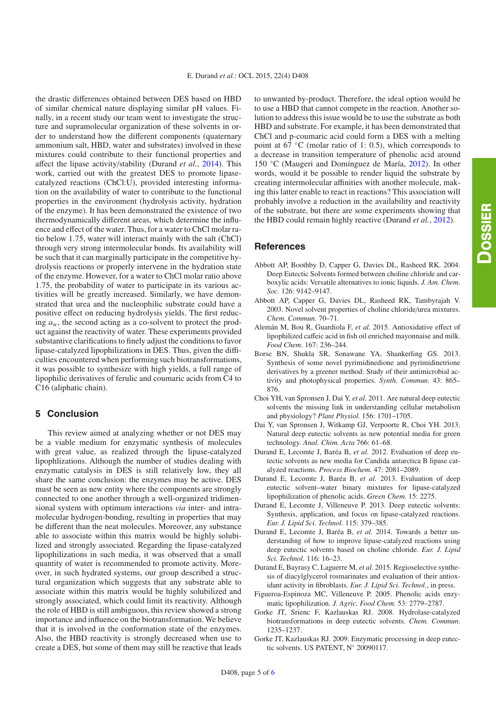the drastic differences obtained between DES based on HBD of similar chemical nature displaying similar pH values. Finally, in a recent study our team went to investigate the structure and supramolecular organization of these solvents in order to understand how the different components (quaternary ammonium salt, HBD, water and substrates) involved in these mixtures could contribute to their functional properties and affect the lipase activity/stability (Durand *et al.*, [2014\)](#page-4-12). This work, carried out with the greatest DES to promote lipasecatalyzed reactions (ChCl:U), provided interesting information on the availability of water to contribute to the functional properties in the environment (hydrolysis activity, hydration of the enzyme). It has been demonstrated the existence of two thermodynamically different areas, which determine the influence and effect of the water. Thus, for a water to ChCl molar ratio below 1.75, water will interact mainly with the salt (ChCl) through very strong intermolecular bonds. Its availability will be such that it can marginally participate in the competitive hydrolysis reactions or properly intervene in the hydration state of the enzyme. However, for a water to ChCl molar ratio above 1.75, the probability of water to participate in its various activities will be greatly increased. Similarly, we have demonstrated that urea and the nucleophilic substrate could have a positive effect on reducing hydrolysis yields. The first reducing *a*w, the second acting as a co-solvent to protect the product against the reactivity of water. These experiments provided substantive clarifications to finely adjust the conditions to favor lipase-catalyzed lipophilizations in DES. Thus, given the difficulties encountered when performing such biotransformations, it was possible to synthesize with high yields, a full range of lipophilic derivatives of ferulic and coumaric acids from C4 to C16 (aliphatic chain).

#### **5 Conclusion**

This review aimed at analyzing whether or not DES may be a viable medium for enzymatic synthesis of molecules with great value, as realized through the lipase-catalyzed lipophlizations. Although the number of studies dealing with enzymatic catalysis in DES is still relatively low, they all share the same conclusion: the enzymes may be active. DES must be seen as new entity where the components are strongly connected to one another through a well-organized tridimensional system with optimum interactions *via* inter- and intramolecular hydrogen-bonding, resulting in properties that may be different than the neat molecules. Moreover, any substance able to associate within this matrix would be highly solubilized and strongly associated. Regarding the lipase-catalyzed lipophilizations in such media, it was observed that a small quantity of water is recommended to promote activity. Moreover, in such hydrated systems, our group described a structural organization which suggests that any substrate able to associate within this matrix would be highly solubilized and strongly associated, which could limit its reactivity. Although the role of HBD is still ambiguous, this review showed a strong importance and influence on the biotransformation. We believe that it is involved in the conformation state of the enzymes. Also, the HBD reactivity is strongly decreased when use to create a DES, but some of them may still be reactive that leads

to unwanted by-product. Therefore, the ideal option would be to use a HBD that cannot compete in the reaction. Another solution to address this issue would be to use the substrate as both HBD and substrate. For example, it has been demonstrated that ChCl and p-coumaric acid could form a DES with a melting point at 67  $°C$  (molar ratio of 1: 0.5), which corresponds to a decrease in transition temperature of phenolic acid around 150 ◦C (Maugeri and Domínguez de María, [2012\)](#page-5-21). In other words, would it be possible to render liquid the substrate by creating intermolecular affinities with another molecule, making this latter enable to react in reactions? This association will probably involve a reduction in the availability and reactivity of the substrate, but there are some experiments showing that the HBD could remain highly reactive (Durand *et al.*, [2012\)](#page-4-5).

#### **References**

- <span id="page-4-0"></span>Abbott AP, Boothby D, Capper G, Davies DL, Rasheed RK. 2004. Deep Eutectic Solvents formed between choline chloride and carboxylic acids: Versatile alternatives to ionic liquids. *J. Am. Chem. Soc.* 126: 9142–9147.
- <span id="page-4-1"></span>Abbott AP, Capper G, Davies DL, Rasheed RK, Tambyrajah V. 2003. Novel solvent properties of choline chloride/urea mixtures. *Chem. Commun.* 70–71.
- <span id="page-4-4"></span>Alemán M, Bou R, Guardiola F, *et al.* 2015. Antioxidative effect of lipophilized caffeic acid in fish oil enriched mayonnaise and milk. *Food Chem.* 167: 236–244.
- <span id="page-4-11"></span>Borse BN, Shukla SR, Sonawane YA, Shankerling GS. 2013. Synthesis of some novel pyrimidinedione and pyrimidinetrione derivatives by a greener method: Study of their antimicrobial activity and photophysical properties. *Synth. Commun.* 43: 865– 876.
- <span id="page-4-7"></span>Choi YH, van Spronsen J, Dai Y, *et al.* 2011. Are natural deep eutectic solvents the missing link in understanding cellular metabolism and physiology? *Plant Physiol.* 156: 1701–1705.
- <span id="page-4-3"></span>Dai Y, van Spronsen J, Witkamp GJ, Verpoorte R, Choi YH. 2013. Natural deep eutectic solvents as new potential media for green technology. *Anal. Chim. Acta* 766: 61–68.
- <span id="page-4-5"></span>Durand E, Lecomte J, Baréa B, *et al.* 2012. Evaluation of deep eutectic solvents as new media for Candida antarctica B lipase catalyzed reactions. *Process Biochem.* 47: 2081–2089.
- <span id="page-4-2"></span>Durand E, Lecomte J, Baréa B, *et al.* 2013. Evaluation of deep eutectic solvent–water binary mixtures for lipase-catalyzed lipophilization of phenolic acids. *Green Chem.* 15: 2275.
- Durand E, Lecomte J, Villeneuve P. 2013. Deep eutectic solvents: Synthesis, application, and focus on lipase-catalyzed reactions. *Eur. J. Lipid Sci. Technol.* 115: 379–385.
- <span id="page-4-12"></span>Durand E, Lecomte J, Baréa B, *et al.* 2014. Towards a better understanding of how to improve lipase-catalyzed reactions using deep eutectic solvents based on choline chloride. *Eur. J. Lipid Sci. Technol.* 116: 16–23.
- <span id="page-4-8"></span>Durand E, Bayrasy C, Laguerre M, *et al.* 2015. Regioselective synthesis of diacylglycerol rosmarinates and evaluation of their antioxidant activity in fibroblasts. *Eur. J. Lipid Sci. Technol.*, in press.
- <span id="page-4-9"></span>Figueroa-Espinoza MC, Villeneuve P. 2005. Phenolic acids enzymatic lipophilization. *J. Agric. Food Chem.* 53: 2779–2787.
- <span id="page-4-6"></span>Gorke JT, Srienc F, Kazlauskas RJ. 2008. Hydrolase-catalyzed biotransformations in deep eutectic solvents. *Chem. Commun.* 1235–1237.
- <span id="page-4-10"></span>Gorke JT, Kazlauskas RJ. 2009. Enzymatic processing in deep eutectic solvents. US PATENT, N◦ 20090117.